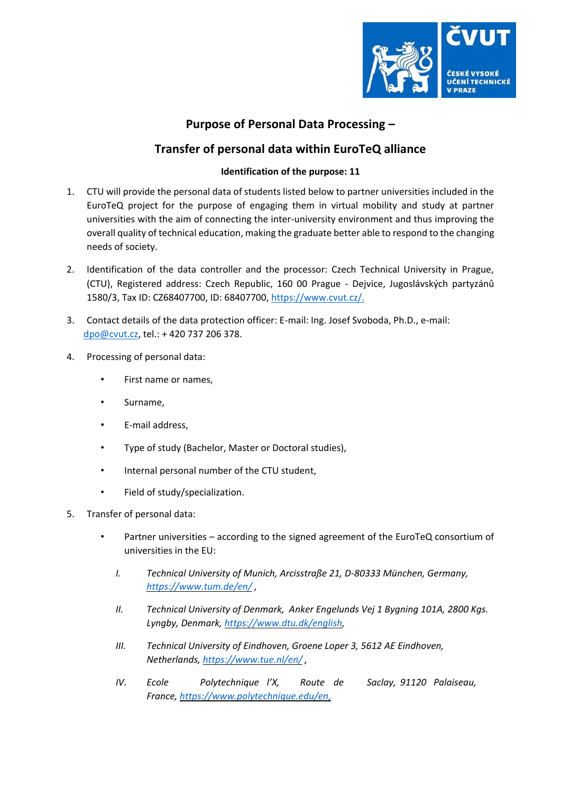

## **Purpose of Personal Data Processing –**

## **Transfer of personal data within EuroTeQ alliance**

## **Identification of the purpose: 11**

- 1. CTU will provide the personal data of students listed below to partner universities included in the EuroTeQ project for the purpose of engaging them in virtual mobility and study at partner universities with the aim of connecting the inter-university environment and thus improving the overall quality of technical education, making the graduate better able to respond to the changing needs of society.
- 2. Identification of the data controller and the processor: Czech Technical University in Prague, (CTU), Registered address: Czech Republic, 160 00 Prague - Dejvice, Jugoslávských partyzánů 1580/3, Tax ID: CZ68407700, ID: 68407700[,](https://www.cvut.cz/) [https://www.cvut.cz/.](https://www.cvut.cz/)
- 3. Contact details of the data protection officer: E-mail: Ing. Josef Svoboda, Ph.D., e-mail: dpo@cvut.cz, tel.: + 420 737 206 378.
- 4. Processing of personal data:
	- First name or names,
	- Surname,
	- E-mail address,
	- Type of study (Bachelor, Master or Doctoral studies),
	- Internal personal number of the CTU student,
	- Field of study/specialization.
- 5. Transfer of personal data:
	- Partner universities according to the signed agreement of the EuroTeQ consortium of universities in the EU:
		- *I. Technical University of Munich, Arcisstraße 21, D-80333 München, Germany, <https://www.tum.de/en/> ,*
		- *II. Technical University of Denmark, Anker Engelunds Vej 1 Bygning 101A, 2800 Kgs. Lyngby, Denmark, [https://www.dtu.dk/english,](https://www.dtu.dk/english)*
		- *III. Technical University of Eindhoven, Groene Loper 3, 5612 AE Eindhoven, Netherlands, <https://www.tue.nl/en/> [,](https://www.tue.nl/en/)*
		- *IV. Ecole Polytechnique l'X, Route de Saclay, 91120 Palaiseau, France, [https://www.polytechnique.edu/en,](https://www.polytechnique.edu/en)*